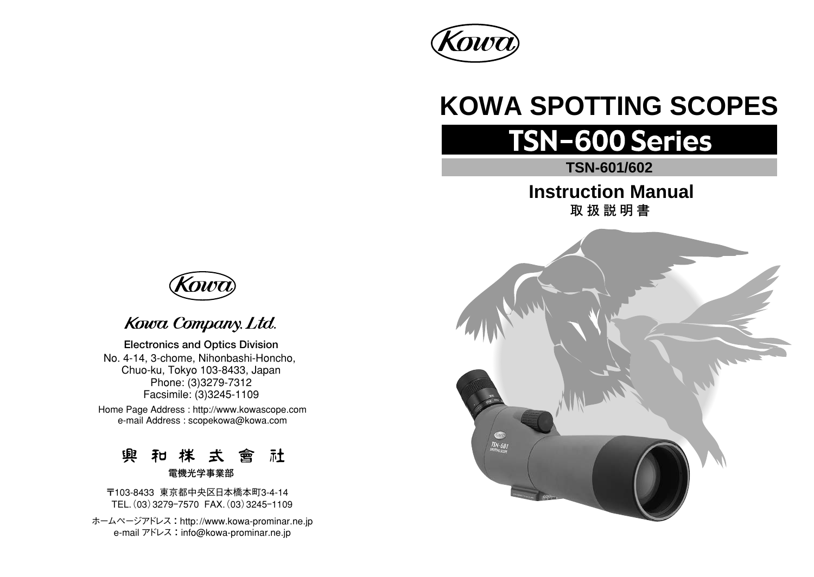

# **KOWA SPOTTING SCOPES**

# **TSN-600 Series**

# **TSN-601/602**

**Instruction Manual 取扱説明書** 





# Kowa Company. Ltd.

**Electronics and Optics Division**  No. 4-14, 3-chome, Nihonbashi-Honcho, Chuo-ku, Tokyo 103-8433, Japan Phone: (3)3279-7312 Facsimile: (3)3245-1109

Home Page Address : http://www.kowascope.com e-mail Address : scopekowa@kowa.com

> **興 和 株 去 會 社 電機光学事業部**

〒103-8433 東京都中央区日本橋本町3-4-14 TEL.(03)3279ー7570 FAX.(03)3245ー1109

ホームページアドレス : http: //www.kowa-prominar.ne.jp e-mail アドレス: info@kowa-prominar.ne.jp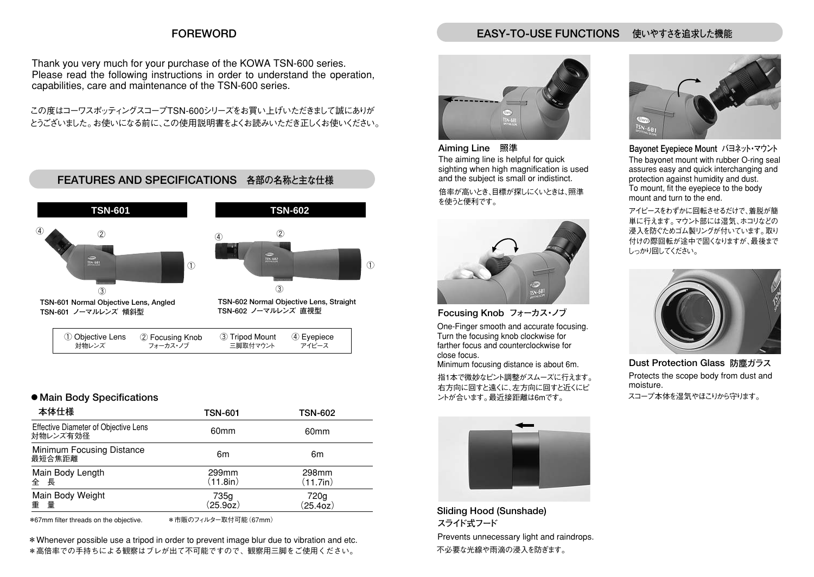#### **FOREWORD**

#### **EASY-TO-USE FUNCTIONS 使いやすさを追求した機能**

Thank you very much for your purchase of the KOWA TSN-600 series. Please read the following instructions in order to understand the operation, capabilities, care and maintenance of the TSN-600 series.

この度はコーワスポッティングスコープTSN-600シリーズをお買い上げいただきまして誠にありが とうございました。お使いになる前に、この使用説明書をよくお読みいただき正しくお使いください。



#### **● Main Body Specifications**

| 本体仕様                                             | TSN-601           | <b>TSN-602</b>    |
|--------------------------------------------------|-------------------|-------------------|
| Effective Diameter of Objective Lens<br>対物レンズ有効径 | 60 <sub>mm</sub>  | 60 <sub>mm</sub>  |
| Minimum Focusing Distance<br>最短合焦距離              | 6m                | 6m                |
| Main Body Length<br>全長                           | 299mm<br>(11.8in) | 298mm<br>(11.7in) |
| Main Body Weight<br>重量                           | 735g<br>(25.90z)  | 720g<br>(25.40z)  |

\*67mm filter threads on the objective.

\*市販のフィルター取付可能(67mm)

\*Whenever possible use a tripod in order to prevent image blur due to vibration and etc. \*高倍率での手持ちによる観察はブレが出て不可能ですので、観察用三脚をご使用ください。



**Aiming Line** The aiming line is helpful for quick sighting when high magnification is used and the subject is small or indistinct. **照準**  倍率が高いとき、目標が探しにくいときは、照準

を使うと便利です。



**Focusing Knob フォーカス・ノブ**  One-Finger smooth and accurate focusing.

Turn the focusing knob clockwise for farther focus and counterclockwise for close focus.

Minimum focusing distance is about 6m.

指1本で微妙なピント調整がスムーズに行えます。 右方向に回すと遠くに、左方向に回すと近くにピ ントが合います。最近接距離は6mです。 スコープ本体を湿気やほこりから守ります。



**Sliding Hood (Sunshade)** Prevents unnecessary light and raindrops. **スライド式フード**  不必要な光線や雨滴の浸入を防ぎます。



**Bayonet Eyepiece Mount バヨネット・マウント**  The bayonet mount with rubber O-ring seal assures easy and quick interchanging and protection against humidity and dust. To mount, fit the eyepiece to the body mount and turn to the end.

アイピースをわずかに回転させるだけで、着脱が簡 単に行えます。マウント部には湿気、ホコリなどの 浸入を防ぐためゴム製リングが付いています。取り 付けの際回転が途中で固くなりますが、最後まで しっかり回してください。



**Dust Protection Glass 防塵ガラス**  Protects the scope body from dust and moisture.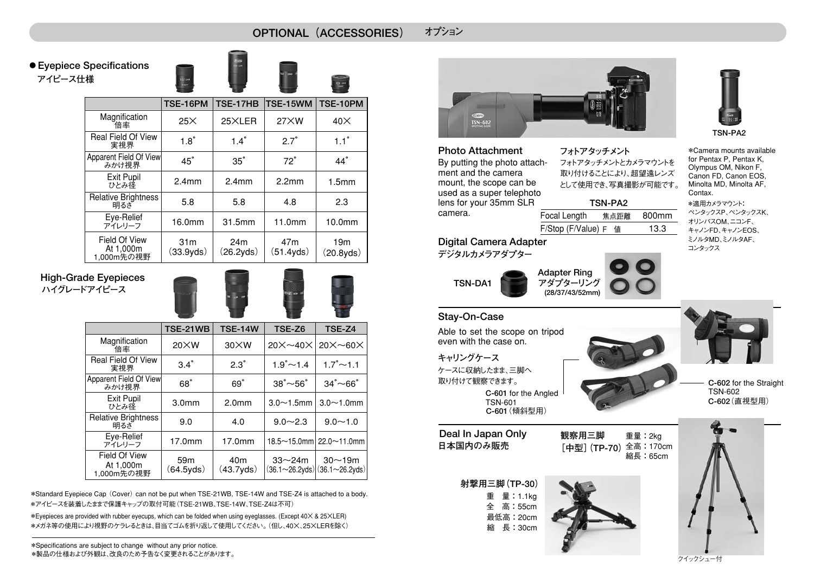**OPTIONAL(ACCESSORIES) オプション** 

**アイピース仕様 ● Eyepiece Specifications** 

1,000m先の視野



|                                   | TSE-16PM                              | TSE-17HB          | TSE-15WM           | TSE-10PM            |
|-----------------------------------|---------------------------------------|-------------------|--------------------|---------------------|
| Magnification<br>倍率               | $25\times$                            | 25XLER            | 27XW               | $40\times$          |
| Real Field Of View<br>実視界         | $1.8^\circ$                           | $1.4^\circ$       | $2.7^\circ$        | $1.1^\circ$         |
| Apparent Field Of View<br>みかけ視界   | $45^\circ$                            | $35^\circ$        | $72^\circ$         | $44^\circ$          |
| Exit Pupil<br>ひとみ径                | 2.4 <sub>mm</sub>                     | 2.4 <sub>mm</sub> | 2.2 <sub>mm</sub>  | 1.5 <sub>mm</sub>   |
| <b>Relative Brightness</b><br>明るざ | 5.8                                   | 5.8               | 4.8                | 2.3                 |
| Eye-Relief<br>アイレリーフ              | 16.0mm                                | 31.5mm            | 11.0mm             | 10.0mm              |
| Field Of View<br>At 1.000m        | 31 <sub>m</sub><br>00.00 <sub>h</sub> | 24m<br>(26.24)    | 47m<br>$(E1$ Avde) | 19m<br>(0.00, 0.00) |

(26.2yds)

#### **High-Grade Eyepieces ハイグレードアイピース**



(51.4yds)

(20.8yds)

|                                          | <b>TSE-21WB</b>              | <b>TSE-14W</b>               | TSE-Z6                            | TSE-Z4                                                         |
|------------------------------------------|------------------------------|------------------------------|-----------------------------------|----------------------------------------------------------------|
| Magnification<br>倍率                      | $20\times W$                 | $30\times W$                 | $20 \times \sim 40 \times$        | $20 \times \sim 60 \times$                                     |
| <b>Real Field Of View</b><br>実視界         | $3.4^\circ$                  | $2.3^\circ$                  | $1.9^{\circ}$ ~ 1.4               | $1.7^{\circ}$ ~ 1.1                                            |
| Apparent Field Of View<br>みかけ視界          | 68°                          | $69^\circ$                   | $38^{\circ}$ $\sim$ 56 $^{\circ}$ | $34^{\circ}$ $\sim$ 66 $^{\circ}$                              |
| Exit Pupil<br>ひとみ径                       | 3.0 <sub>mm</sub>            | 2.0 <sub>mm</sub>            | $3.0 - 1.5$ mm                    | $3.0 - 1.0$ mm                                                 |
| <b>Relative Brightness</b><br>明るざ        | 9.0                          | 4.0                          | $9.0 - 2.3$                       | $9.0 - 1.0$                                                    |
| Eye-Relief<br>アイレリーフ                     | 17.0mm                       | 17.0mm                       |                                   | $18.5 \sim 15.0$ mm   22.0 $\sim$ 11.0mm                       |
| Field Of View<br>At 1,000m<br>1,000m先の視野 | 59 <sub>m</sub><br>(64.5yds) | 40 <sub>m</sub><br>(43.7yds) | $33 - 24m$                        | $30 - 19m$<br>$(36.1 \sim 26.2$ yds $)(36.1 \sim 26.2$ yds $)$ |

\*Standard Eyepiece Cap (Cover) can not be put when TSE-21WB, TSE-14W and TSE-Z4 is attached to a body. \*アイピースを装着したままで保護キャップの取付可能(TSE-21WB、TSE-14W、TSE-Z4は不可)

\*Eyepieces are provided with rubber eyecups, which can be folded when using eyeglasses. (Except 40× & 25×LER) \*メガネ等の使用により視野のケラレるときは、目当てゴムを折り返して使用してください。(但し、40×、25×LERを除く)

(33.9yds)



**Photo Attachment**  By putting the photo attachment and the camera mount, the scope can be used as a super telephoto lens for your 35mm SLR camera. Focal Length

**フォトアタッチメント**  フォトアタッチメントとカメラマウントを 取り付けることにより、超望遠レンズ として使用でき、写真撮影が可能です。

**TSN-PA2** 800mm

F/Stop (F/Value) F 値 13.3 焦点距離

**Digital Camera Adapter デジタルカメラアダプター** 

Able to set the scope on tripod even with the case on.

TSN-601

**TSN-DA1**

**Stay-On-Case**

**キャリングケース** 

ケースに収納したまま、三脚へ 取り付けて観察できます。

**Deal In Japan Only**





**C-602** for the Straight **C-602**(直視型用)



**C-601** for the Angled

**C-601**(傾斜型用)

**観察用三脚 [中型](TP-70)** 全高:170cm 縮長:65cm







**TSN-PA2**

ペンタックスP、ペンタックスK、 オリンパスOM、ニコンF、 キャノンFD、キャノンEOS、 ミノルタMD、ミノルタAF、 コンタックス